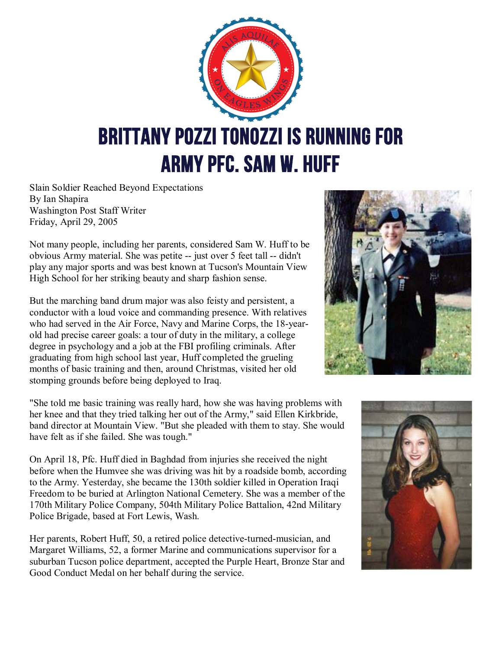

Slain Soldier Reached Beyond Expectations By Ian Shapira Washington Post Staff Writer Friday, April 29, 2005

Not many people, including her parents, considered Sam W. Huff to be obvious Army material. She was petite -- just over 5 feet tall -- didn't play any major sports and was best known at Tucson's Mountain View High School for her striking beauty and sharp fashion sense.

But the marching band drum major was also feisty and persistent, a conductor with a loud voice and commanding presence. With relatives who had served in the Air Force, Navy and Marine Corps, the 18-yearold had precise career goals: a tour of duty in the military, a college degree in psychology and a job at the FBI profiling criminals. After graduating from high school last year, Huff completed the grueling months of basic training and then, around Christmas, visited her old stomping grounds before being deployed to Iraq.

"She told me basic training was really hard, how she was having problems with her knee and that they tried talking her out of the Army," said Ellen Kirkbride, band director at Mountain View. "But she pleaded with them to stay. She would have felt as if she failed. She was tough."

On April 18, Pfc. Huff died in Baghdad from injuries she received the night before when the Humvee she was driving was hit by a roadside bomb, according to the Army. Yesterday, she became the 130th soldier killed in Operation Iraqi Freedom to be buried at Arlington National Cemetery. She was a member of the 170th Military Police Company, 504th Military Police Battalion, 42nd Military Police Brigade, based at Fort Lewis, Wash.

Her parents, Robert Huff, 50, a retired police detective-turned-musician, and Margaret Williams, 52, a former Marine and communications supervisor for a suburban Tucson police department, accepted the Purple Heart, Bronze Star and Good Conduct Medal on her behalf during the service.